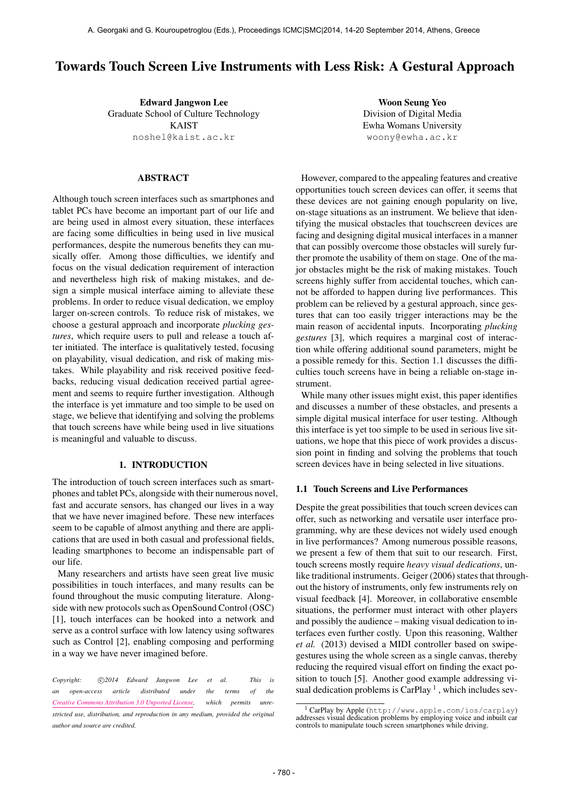# Towards Touch Screen Live Instruments with Less Risk: A Gestural Approach

Edward Jangwon Lee Graduate School of Culture Technology KAIST [noshel@kaist.ac.kr](mailto:noshel@kaist.ac.kr)

## ABSTRACT

Although touch screen interfaces such as smartphones and tablet PCs have become an important part of our life and are being used in almost every situation, these interfaces are facing some difficulties in being used in live musical performances, despite the numerous benefits they can musically offer. Among those difficulties, we identify and focus on the visual dedication requirement of interaction and nevertheless high risk of making mistakes, and design a simple musical interface aiming to alleviate these problems. In order to reduce visual dedication, we employ larger on-screen controls. To reduce risk of mistakes, we choose a gestural approach and incorporate *plucking gestures*, which require users to pull and release a touch after initiated. The interface is qualitatively tested, focusing on playability, visual dedication, and risk of making mistakes. While playability and risk received positive feedbacks, reducing visual dedication received partial agreement and seems to require further investigation. Although the interface is yet immature and too simple to be used on stage, we believe that identifying and solving the problems that touch screens have while being used in live situations is meaningful and valuable to discuss.

#### 1. INTRODUCTION

The introduction of touch screen interfaces such as smartphones and tablet PCs, alongside with their numerous novel, fast and accurate sensors, has changed our lives in a way that we have never imagined before. These new interfaces seem to be capable of almost anything and there are applications that are used in both casual and professional fields, leading smartphones to become an indispensable part of our life.

Many researchers and artists have seen great live music possibilities in touch interfaces, and many results can be found throughout the music computing literature. Alongside with new protocols such as OpenSound Control (OSC) [1], touch interfaces can be hooked into a network and serve as a control surface with low latency using softwares such as Control [2], enabling composing and performing in a way we have never imagined before.

Copyright:  $\bigcirc$  2014 Edward Jangwon Lee et al. This is *an open-access article distributed under the terms of the [Creative Commons Attribution 3.0 Unported License,](http://creativecommons.org/licenses/by/3.0/) which permits unrestricted use, distribution, and reproduction in any medium, provided the original author and source are credited.*

Woon Seung Yeo Division of Digital Media Ewha Womans University [woony@ewha.ac.kr](mailto:woony@ewha.ac.kr)

However, compared to the appealing features and creative opportunities touch screen devices can offer, it seems that these devices are not gaining enough popularity on live, on-stage situations as an instrument. We believe that identifying the musical obstacles that touchscreen devices are facing and designing digital musical interfaces in a manner that can possibly overcome those obstacles will surely further promote the usability of them on stage. One of the major obstacles might be the risk of making mistakes. Touch screens highly suffer from accidental touches, which cannot be afforded to happen during live performances. This problem can be relieved by a gestural approach, since gestures that can too easily trigger interactions may be the main reason of accidental inputs. Incorporating *plucking gestures* [3], which requires a marginal cost of interaction while offering additional sound parameters, might be a possible remedy for this. Section 1.1 discusses the difficulties touch screens have in being a reliable on-stage instrument.

While many other issues might exist, this paper identifies and discusses a number of these obstacles, and presents a simple digital musical interface for user testing. Although this interface is yet too simple to be used in serious live situations, we hope that this piece of work provides a discussion point in finding and solving the problems that touch screen devices have in being selected in live situations.

#### 1.1 Touch Screens and Live Performances

Despite the great possibilities that touch screen devices can offer, such as networking and versatile user interface programming, why are these devices not widely used enough in live performances? Among numerous possible reasons, we present a few of them that suit to our research. First, touch screens mostly require *heavy visual dedications*, unlike traditional instruments. Geiger (2006) states that throughout the history of instruments, only few instruments rely on visual feedback [4]. Moreover, in collaborative ensemble situations, the performer must interact with other players and possibly the audience – making visual dedication to interfaces even further costly. Upon this reasoning, Walther *et al.* (2013) devised a MIDI controller based on swipegestures using the whole screen as a single canvas, thereby reducing the required visual effort on finding the exact position to touch [5]. Another good example addressing visual dedication problems is CarPlay<sup>1</sup>, which includes sev-

<sup>1</sup> CarPlay by Apple (<http://www.apple.com/ios/carplay>) addresses visual dedication problems by employing voice and inbuilt car controls to manipulate touch screen smartphones while driving.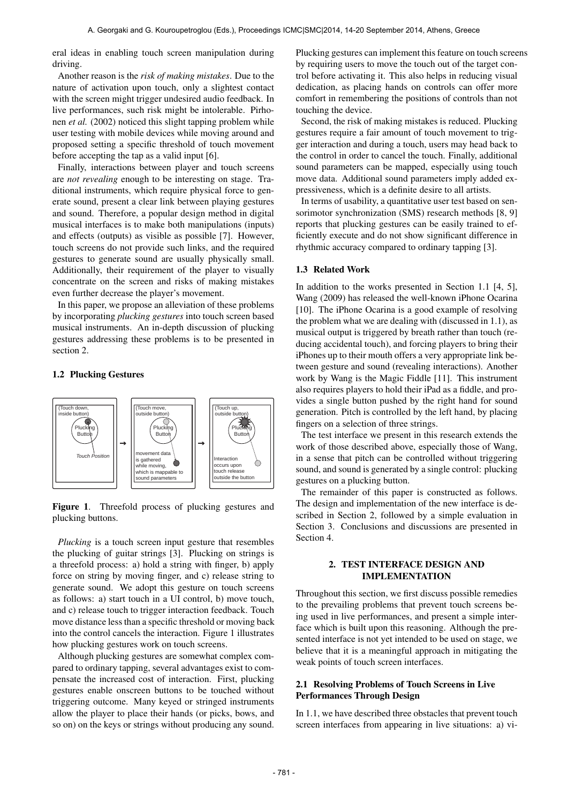eral ideas in enabling touch screen manipulation during driving.

Another reason is the *risk of making mistakes*. Due to the nature of activation upon touch, only a slightest contact with the screen might trigger undesired audio feedback. In live performances, such risk might be intolerable. Pirhonen *et al.* (2002) noticed this slight tapping problem while user testing with mobile devices while moving around and proposed setting a specific threshold of touch movement before accepting the tap as a valid input [6].

Finally, interactions between player and touch screens are *not revealing* enough to be interesting on stage. Traditional instruments, which require physical force to generate sound, present a clear link between playing gestures and sound. Therefore, a popular design method in digital musical interfaces is to make both manipulations (inputs) and effects (outputs) as visible as possible [7]. However, touch screens do not provide such links, and the required gestures to generate sound are usually physically small. Additionally, their requirement of the player to visually concentrate on the screen and risks of making mistakes even further decrease the player's movement.

In this paper, we propose an alleviation of these problems by incorporating *plucking gestures* into touch screen based musical instruments. An in-depth discussion of plucking gestures addressing these problems is to be presented in section 2.

#### 1.2 Plucking Gestures



Figure 1. Threefold process of plucking gestures and plucking buttons.

*Plucking* is a touch screen input gesture that resembles the plucking of guitar strings [3]. Plucking on strings is a threefold process: a) hold a string with finger, b) apply force on string by moving finger, and c) release string to generate sound. We adopt this gesture on touch screens as follows: a) start touch in a UI control, b) move touch, and c) release touch to trigger interaction feedback. Touch move distance less than a specific threshold or moving back into the control cancels the interaction. Figure 1 illustrates how plucking gestures work on touch screens.

Although plucking gestures are somewhat complex compared to ordinary tapping, several advantages exist to compensate the increased cost of interaction. First, plucking gestures enable onscreen buttons to be touched without triggering outcome. Many keyed or stringed instruments allow the player to place their hands (or picks, bows, and so on) on the keys or strings without producing any sound. Plucking gestures can implement this feature on touch screens by requiring users to move the touch out of the target control before activating it. This also helps in reducing visual dedication, as placing hands on controls can offer more comfort in remembering the positions of controls than not touching the device.

Second, the risk of making mistakes is reduced. Plucking gestures require a fair amount of touch movement to trigger interaction and during a touch, users may head back to the control in order to cancel the touch. Finally, additional sound parameters can be mapped, especially using touch move data. Additional sound parameters imply added expressiveness, which is a definite desire to all artists.

In terms of usability, a quantitative user test based on sensorimotor synchronization (SMS) research methods [8, 9] reports that plucking gestures can be easily trained to efficiently execute and do not show significant difference in rhythmic accuracy compared to ordinary tapping [3].

### 1.3 Related Work

In addition to the works presented in Section 1.1 [4, 5], Wang (2009) has released the well-known iPhone Ocarina [10]. The iPhone Ocarina is a good example of resolving the problem what we are dealing with (discussed in 1.1), as musical output is triggered by breath rather than touch (reducing accidental touch), and forcing players to bring their iPhones up to their mouth offers a very appropriate link between gesture and sound (revealing interactions). Another work by Wang is the Magic Fiddle [11]. This instrument also requires players to hold their iPad as a fiddle, and provides a single button pushed by the right hand for sound generation. Pitch is controlled by the left hand, by placing fingers on a selection of three strings.

The test interface we present in this research extends the work of those described above, especially those of Wang, in a sense that pitch can be controlled without triggering sound, and sound is generated by a single control: plucking gestures on a plucking button.

The remainder of this paper is constructed as follows. The design and implementation of the new interface is described in Section 2, followed by a simple evaluation in Section 3. Conclusions and discussions are presented in Section 4.

# 2. TEST INTERFACE DESIGN AND IMPLEMENTATION

Throughout this section, we first discuss possible remedies to the prevailing problems that prevent touch screens being used in live performances, and present a simple interface which is built upon this reasoning. Although the presented interface is not yet intended to be used on stage, we believe that it is a meaningful approach in mitigating the weak points of touch screen interfaces.

# 2.1 Resolving Problems of Touch Screens in Live Performances Through Design

In 1.1, we have described three obstacles that prevent touch screen interfaces from appearing in live situations: a) vi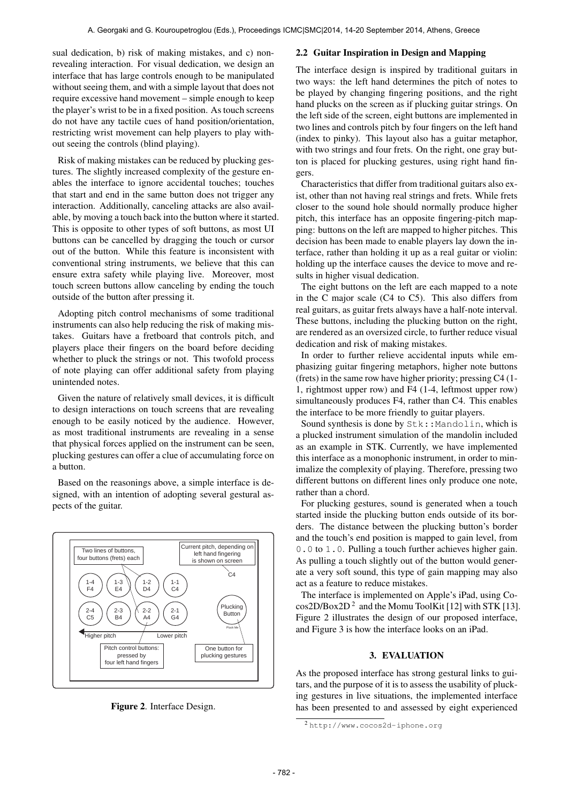sual dedication, b) risk of making mistakes, and c) nonrevealing interaction. For visual dedication, we design an interface that has large controls enough to be manipulated without seeing them, and with a simple layout that does not require excessive hand movement – simple enough to keep the player's wrist to be in a fixed position. As touch screens do not have any tactile cues of hand position/orientation, restricting wrist movement can help players to play without seeing the controls (blind playing).

Risk of making mistakes can be reduced by plucking gestures. The slightly increased complexity of the gesture enables the interface to ignore accidental touches; touches that start and end in the same button does not trigger any interaction. Additionally, canceling attacks are also available, by moving a touch back into the button where it started. This is opposite to other types of soft buttons, as most UI buttons can be cancelled by dragging the touch or cursor out of the button. While this feature is inconsistent with conventional string instruments, we believe that this can ensure extra safety while playing live. Moreover, most touch screen buttons allow canceling by ending the touch outside of the button after pressing it.

Adopting pitch control mechanisms of some traditional instruments can also help reducing the risk of making mistakes. Guitars have a fretboard that controls pitch, and players place their fingers on the board before deciding whether to pluck the strings or not. This twofold process of note playing can offer additional safety from playing unintended notes.

Given the nature of relatively small devices, it is difficult to design interactions on touch screens that are revealing enough to be easily noticed by the audience. However, as most traditional instruments are revealing in a sense that physical forces applied on the instrument can be seen, plucking gestures can offer a clue of accumulating force on a button.

Based on the reasonings above, a simple interface is designed, with an intention of adopting several gestural aspects of the guitar.



Figure 2. Interface Design.

#### 2.2 Guitar Inspiration in Design and Mapping

The interface design is inspired by traditional guitars in two ways: the left hand determines the pitch of notes to be played by changing fingering positions, and the right hand plucks on the screen as if plucking guitar strings. On the left side of the screen, eight buttons are implemented in two lines and controls pitch by four fingers on the left hand (index to pinky). This layout also has a guitar metaphor, with two strings and four frets. On the right, one gray button is placed for plucking gestures, using right hand fingers.

Characteristics that differ from traditional guitars also exist, other than not having real strings and frets. While frets closer to the sound hole should normally produce higher pitch, this interface has an opposite fingering-pitch mapping: buttons on the left are mapped to higher pitches. This decision has been made to enable players lay down the interface, rather than holding it up as a real guitar or violin: holding up the interface causes the device to move and results in higher visual dedication.

The eight buttons on the left are each mapped to a note in the C major scale (C4 to C5). This also differs from real guitars, as guitar frets always have a half-note interval. These buttons, including the plucking button on the right, are rendered as an oversized circle, to further reduce visual dedication and risk of making mistakes.

In order to further relieve accidental inputs while emphasizing guitar fingering metaphors, higher note buttons (frets) in the same row have higher priority; pressing C4 (1- 1, rightmost upper row) and F4 (1-4, leftmost upper row) simultaneously produces F4, rather than C4. This enables the interface to be more friendly to guitar players.

Sound synthesis is done by  $Stk$ ::Mandolin, which is a plucked instrument simulation of the mandolin included as an example in STK. Currently, we have implemented this interface as a monophonic instrument, in order to minimalize the complexity of playing. Therefore, pressing two different buttons on different lines only produce one note, rather than a chord.

For plucking gestures, sound is generated when a touch started inside the plucking button ends outside of its borders. The distance between the plucking button's border and the touch's end position is mapped to gain level, from 0.0 to 1.0. Pulling a touch further achieves higher gain. As pulling a touch slightly out of the button would generate a very soft sound, this type of gain mapping may also act as a feature to reduce mistakes.

The interface is implemented on Apple's iPad, using Co $cos2D/Box2D<sup>2</sup>$  and the Momu ToolKit [12] with STK [13]. Figure 2 illustrates the design of our proposed interface, and Figure 3 is how the interface looks on an iPad.

# 3. EVALUATION

As the proposed interface has strong gestural links to guitars, and the purpose of it is to assess the usability of plucking gestures in live situations, the implemented interface has been presented to and assessed by eight experienced

<sup>2</sup> <http://www.cocos2d-iphone.org>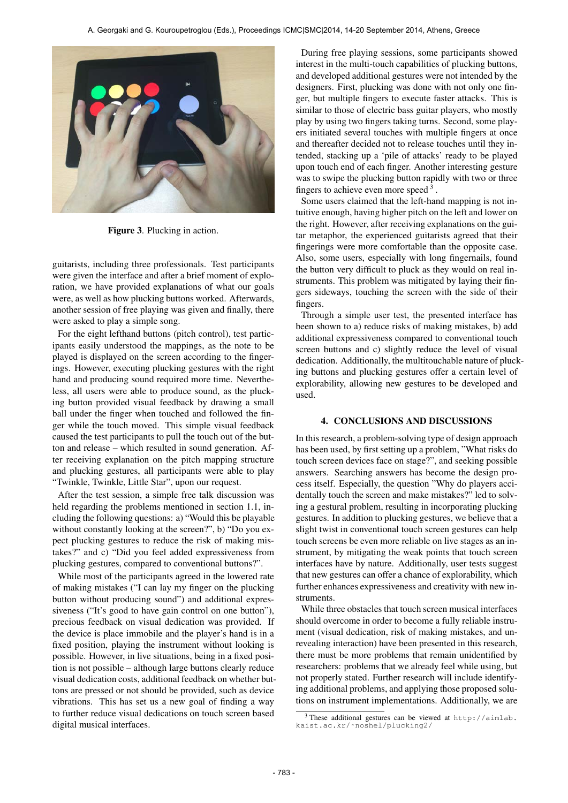

Figure 3. Plucking in action.

guitarists, including three professionals. Test participants were given the interface and after a brief moment of exploration, we have provided explanations of what our goals were, as well as how plucking buttons worked. Afterwards, another session of free playing was given and finally, there were asked to play a simple song.

For the eight lefthand buttons (pitch control), test participants easily understood the mappings, as the note to be played is displayed on the screen according to the fingerings. However, executing plucking gestures with the right hand and producing sound required more time. Nevertheless, all users were able to produce sound, as the plucking button provided visual feedback by drawing a small ball under the finger when touched and followed the finger while the touch moved. This simple visual feedback caused the test participants to pull the touch out of the button and release – which resulted in sound generation. After receiving explanation on the pitch mapping structure and plucking gestures, all participants were able to play "Twinkle, Twinkle, Little Star", upon our request.

After the test session, a simple free talk discussion was held regarding the problems mentioned in section 1.1, including the following questions: a) "Would this be playable without constantly looking at the screen?", b) "Do you expect plucking gestures to reduce the risk of making mistakes?" and c) "Did you feel added expressiveness from plucking gestures, compared to conventional buttons?".

While most of the participants agreed in the lowered rate of making mistakes ("I can lay my finger on the plucking button without producing sound") and additional expressiveness ("It's good to have gain control on one button"), precious feedback on visual dedication was provided. If the device is place immobile and the player's hand is in a fixed position, playing the instrument without looking is possible. However, in live situations, being in a fixed position is not possible – although large buttons clearly reduce visual dedication costs, additional feedback on whether buttons are pressed or not should be provided, such as device vibrations. This has set us a new goal of finding a way to further reduce visual dedications on touch screen based digital musical interfaces.

During free playing sessions, some participants showed interest in the multi-touch capabilities of plucking buttons, and developed additional gestures were not intended by the designers. First, plucking was done with not only one finger, but multiple fingers to execute faster attacks. This is similar to those of electric bass guitar players, who mostly play by using two fingers taking turns. Second, some players initiated several touches with multiple fingers at once and thereafter decided not to release touches until they intended, stacking up a 'pile of attacks' ready to be played upon touch end of each finger. Another interesting gesture was to swipe the plucking button rapidly with two or three fingers to achieve even more speed<sup>3</sup>.

Some users claimed that the left-hand mapping is not intuitive enough, having higher pitch on the left and lower on the right. However, after receiving explanations on the guitar metaphor, the experienced guitarists agreed that their fingerings were more comfortable than the opposite case. Also, some users, especially with long fingernails, found the button very difficult to pluck as they would on real instruments. This problem was mitigated by laying their fingers sideways, touching the screen with the side of their fingers.

Through a simple user test, the presented interface has been shown to a) reduce risks of making mistakes, b) add additional expressiveness compared to conventional touch screen buttons and c) slightly reduce the level of visual dedication. Additionally, the multitouchable nature of plucking buttons and plucking gestures offer a certain level of explorability, allowing new gestures to be developed and used.

#### 4. CONCLUSIONS AND DISCUSSIONS

In this research, a problem-solving type of design approach has been used, by first setting up a problem, "What risks do touch screen devices face on stage?", and seeking possible answers. Searching answers has become the design process itself. Especially, the question "Why do players accidentally touch the screen and make mistakes?" led to solving a gestural problem, resulting in incorporating plucking gestures. In addition to plucking gestures, we believe that a slight twist in conventional touch screen gestures can help touch screens be even more reliable on live stages as an instrument, by mitigating the weak points that touch screen interfaces have by nature. Additionally, user tests suggest that new gestures can offer a chance of explorability, which further enhances expressiveness and creativity with new instruments.

While three obstacles that touch screen musical interfaces should overcome in order to become a fully reliable instrument (visual dedication, risk of making mistakes, and unrevealing interaction) have been presented in this research, there must be more problems that remain unidentified by researchers: problems that we already feel while using, but not properly stated. Further research will include identifying additional problems, and applying those proposed solutions on instrument implementations. Additionally, we are

<sup>3</sup> These additional gestures can be viewed at [http://aimlab.](http://aimlab.kaist.ac.kr/~noshel/plucking2/) [kaist.ac.kr/˜noshel/plucking2/](http://aimlab.kaist.ac.kr/~noshel/plucking2/)